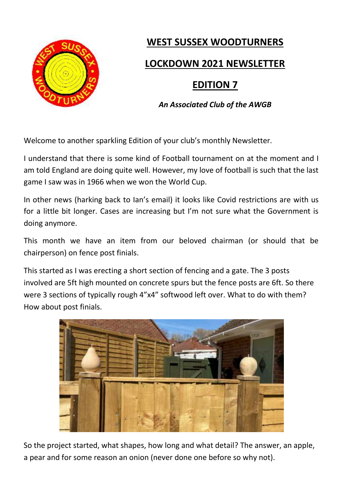

## **WEST SUSSEX WOODTURNERS**

## **LOCKDOWN 2021 NEWSLETTER**

# **EDITION 7**

#### *An Associated Club of the AWGB*

Welcome to another sparkling Edition of your club's monthly Newsletter.

I understand that there is some kind of Football tournament on at the moment and I am told England are doing quite well. However, my love of football is such that the last game I saw was in 1966 when we won the World Cup.

In other news (harking back to Ian's email) it looks like Covid restrictions are with us for a little bit longer. Cases are increasing but I'm not sure what the Government is doing anymore.

This month we have an item from our beloved chairman (or should that be chairperson) on fence post finials.

This started as I was erecting a short section of fencing and a gate. The 3 posts involved are 5ft high mounted on concrete spurs but the fence posts are 6ft. So there were 3 sections of typically rough 4"x4" softwood left over. What to do with them? How about post finials.



So the project started, what shapes, how long and what detail? The answer, an apple, a pear and for some reason an onion (never done one before so why not).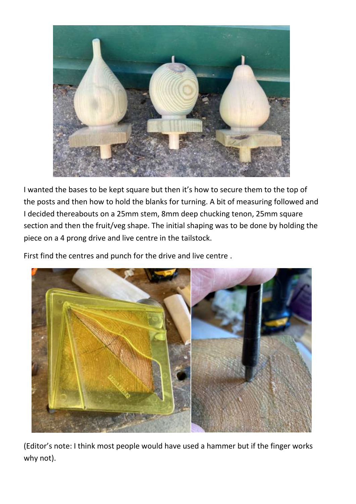

I wanted the bases to be kept square but then it's how to secure them to the top of the posts and then how to hold the blanks for turning. A bit of measuring followed and I decided thereabouts on a 25mm stem, 8mm deep chucking tenon, 25mm square section and then the fruit/veg shape. The initial shaping was to be done by holding the piece on a 4 prong drive and live centre in the tailstock.

First find the centres and punch for the drive and live centre .



(Editor's note: I think most people would have used a hammer but if the finger works why not).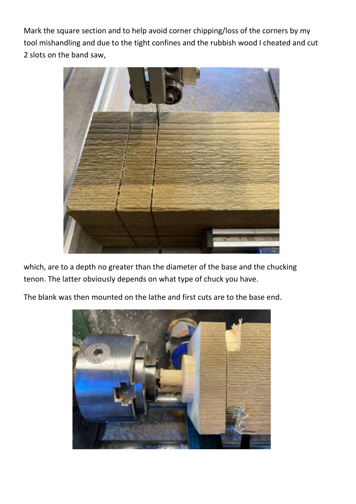Mark the square section and to help avoid corner chipping/loss of the corners by my tool mishandling and due to the tight confines and the rubbish wood I cheated and cut 2 slots on the band saw,



which, are to a depth no greater than the diameter of the base and the chucking tenon. The latter obviously depends on what type of chuck you have.

The blank was then mounted on the lathe and first cuts are to the base end.

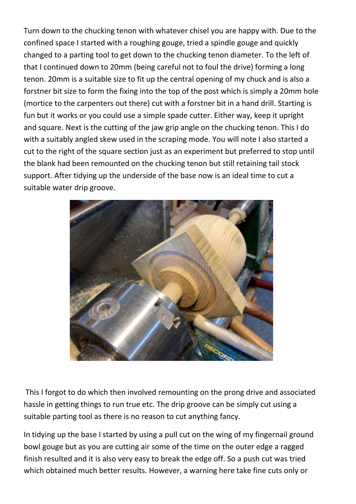Turn down to the chucking tenon with whatever chisel you are happy with. Due to the confined space I started with a roughing gouge, tried a spindle gouge and quickly changed to a parting tool to get down to the chucking tenon diameter. To the left of that I continued down to 20mm (being careful not to foul the drive) forming a long tenon. 20mm is a suitable size to fit up the central opening of my chuck and is also a forstner bit size to form the fixing into the top of the post which is simply a 20mm hole (mortice to the carpenters out there) cut with a forstner bit in a hand drill. Starting is fun but it works or you could use a simple spade cutter. Either way, keep it upright and square. Next is the cutting of the jaw grip angle on the chucking tenon. This I do with a suitably angled skew used in the scraping mode. You will note I also started a cut to the right of the square section just as an experiment but preferred to stop until the blank had been remounted on the chucking tenon but still retaining tail stock support. After tidying up the underside of the base now is an ideal time to cut a suitable water drip groove.



This I forgot to do which then involved remounting on the prong drive and associated hassle in getting things to run true etc. The drip groove can be simply cut using a suitable parting tool as there is no reason to cut anything fancy.

In tidying up the base I started by using a pull cut on the wing of my fingernail ground bowl gouge but as you are cutting air some of the time on the outer edge a ragged finish resulted and it is also very easy to break the edge off. So a push cut was tried which obtained much better results. However, a warning here take fine cuts only or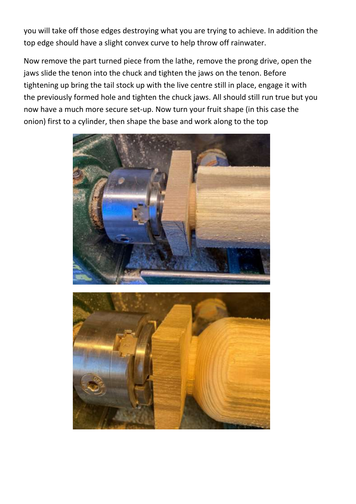you will take off those edges destroying what you are trying to achieve. In addition the top edge should have a slight convex curve to help throw off rainwater.

Now remove the part turned piece from the lathe, remove the prong drive, open the jaws slide the tenon into the chuck and tighten the jaws on the tenon. Before tightening up bring the tail stock up with the live centre still in place, engage it with the previously formed hole and tighten the chuck jaws. All should still run true but you now have a much more secure set-up. Now turn your fruit shape (in this case the onion) first to a cylinder, then shape the base and work along to the top